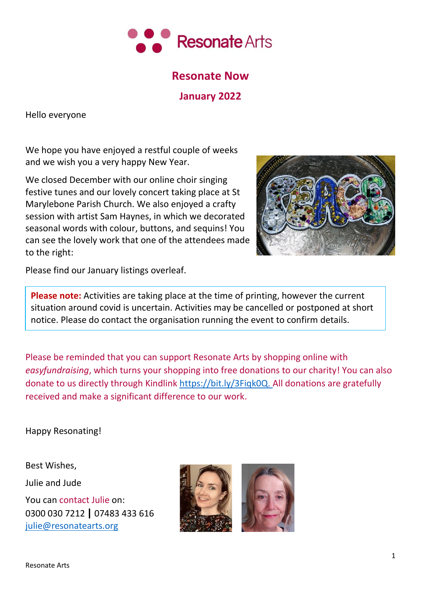

# **Resonate Now**

**January 2022**

Hello everyone

We hope you have enjoyed a restful couple of weeks and we wish you a very happy New Year.

We closed December with our online choir singing festive tunes and our lovely concert taking place at St Marylebone Parish Church. We also enjoyed a crafty session with artist Sam Haynes, in which we decorated seasonal words with colour, buttons, and sequins! You can see the lovely work that one of the attendees made to the right:



Please find our January listings overleaf.

**Please note:** Activities are taking place at the time of printing, however the current situation around covid is uncertain. Activities may be cancelled or postponed at short notice. Please do contact the organisation running the event to confirm details.

Please be reminded that you can support Resonate Arts by shopping online with *easyfundraising*, which turns your shopping into free donations to our charity! You can also donate to us directly through Kindlink [https://bit.ly/3Fiqk0Q.](https://bit.ly/3Fiqk0Q) All donations are gratefully received and make a significant difference to our work.

Happy Resonating!

Best Wishes, Julie and Jude

You can contact Julie on: 0300 030 7212 **|** 07483 433 616 [julie@resonatearts.org](mailto:julie@resonatearts.org)